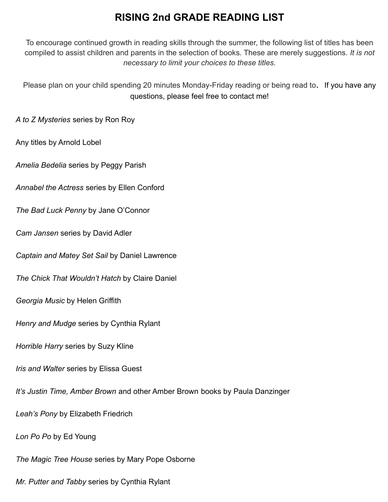# **RISING 2nd GRADE READING LIST**

To encourage continued growth in reading skills through the summer, the following list of titles has been compiled to assist children and parents in the selection of books. These are merely suggestions. *It is not necessary to limit your choices to these titles.*

Please plan on your child spending 20 minutes Monday-Friday reading or being read to. If you have any questions, please feel free to contact me!

*A to Z Mysteries* series by Ron Roy

Any titles by Arnold Lobel

*Amelia Bedelia* series by Peggy Parish

*Annabel the Actress* series by Ellen Conford

*The Bad Luck Penny* by Jane O'Connor

*Cam Jansen* series by David Adler

*Captain and Matey Set Sail* by Daniel Lawrence

*The Chick That Wouldn't Hatch* by Claire Daniel

*Georgia Music* by Helen Griffith

*Henry and Mudge* series by Cynthia Rylant

*Horrible Harry* series by Suzy Kline

*Iris and Walter* series by Elissa Guest

*It's Justin Time, Amber Brown* and other Amber Brown books by Paula Danzinger

*Leah's Pony* by Elizabeth Friedrich

*Lon Po Po* by Ed Young

*The Magic Tree House* series by Mary Pope Osborne

*Mr. Putter and Tabby* series by Cynthia Rylant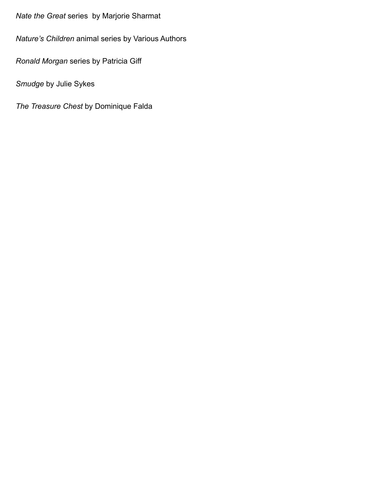# *Nate the Great* series by Marjorie Sharmat

*Nature's Children* animal series by Various Authors

*Ronald Morgan* series by Patricia Giff

*Smudge* by Julie Sykes

*The Treasure Chest* by Dominique Falda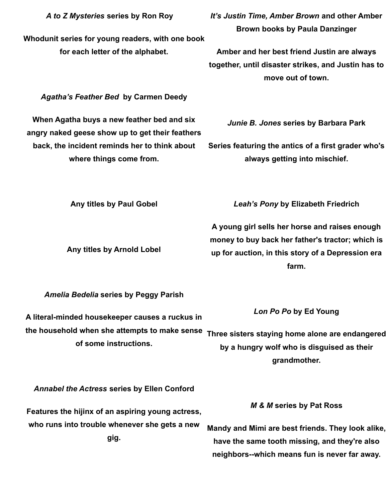*A to Z Mysteries* **series by Ron Roy**

**Whodunit series for young readers, with one book for each letter of the alphabet.**

*It's Justin Time, Amber Brown* **and other Amber Brown books by Paula Danzinger**

**Amber and her best friend Justin are always together, until disaster strikes, and Justin has to move out of town.**

# *Agatha's Feather Bed* **by Carmen Deedy**

**When Agatha buys a new feather bed and six angry naked geese show up to get their feathers back, the incident reminds her to think about where things come from.**

*Junie B. Jones* **series by Barbara Park**

**Series featuring the antics of a first grader who's always getting into mischief.**

**Any titles by Paul Gobel**

**Any titles by Arnold Lobel**

*Leah's Pony* **by Elizabeth Friedrich**

**A young girl sells her horse and raises enough money to buy back her father's tractor; which is up for auction, in this story of a Depression era farm.**

*Amelia Bedelia* **series by Peggy Parish**

**A literal-minded housekeeper causes a ruckus in the household when she attempts to make sense of some instructions.** *Lon Po Po* **by Ed Young Three sisters staying home alone are endangered by a hungry wolf who is disguised as their grandmother.**

*Annabel the Actress* **series by Ellen Conford**

**Features the hijinx of an aspiring young actress, who runs into trouble whenever she gets a new gig.**

*M & M* **series by Pat Ross**

**Mandy and Mimi are best friends. They look alike, have the same tooth missing, and they're also neighbors--which means fun is never far away.**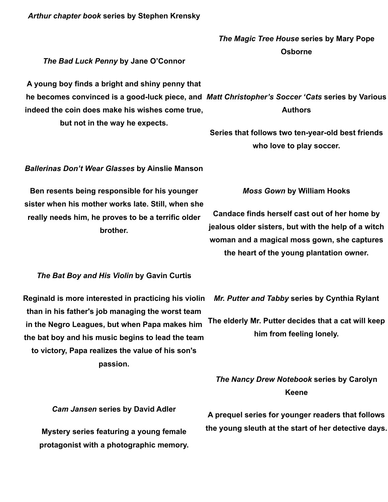### *Arthur chapter book* **series by Stephen Krensky**

# *The Magic Tree House* **series by Mary Pope Osborne**

# *The Bad Luck Penny* **by Jane O'Connor**

**A young boy finds a bright and shiny penny that he becomes convinced is a good-luck piece, and** *Matt Christopher's Soccer 'Cats* **series by Various indeed the coin does make his wishes come true, but not in the way he expects. Authors**

> **Series that follows two ten-year-old best friends who love to play soccer.**

#### *Ballerinas Don't Wear Glasses* **by Ainslie Manson**

**Ben resents being responsible for his younger sister when his mother works late. Still, when she really needs him, he proves to be a terrific older brother.**

#### *Moss Gown* **by William Hooks**

**Candace finds herself cast out of her home by jealous older sisters, but with the help of a witch woman and a magical moss gown, she captures the heart of the young plantation owner.**

## *The Bat Boy and His Violin* **by Gavin Curtis**

**Reginald is more interested in practicing his violin than in his father's job managing the worst team in the Negro Leagues, but when Papa makes him the bat boy and his music begins to lead the team to victory, Papa realizes the value of his son's passion.**

*Mr. Putter and Tabby* **series by Cynthia Rylant**

**The elderly Mr. Putter decides that a cat will keep him from feeling lonely.**

# *The Nancy Drew Notebook* **series by Carolyn Keene**

*Cam Jansen* **series by David Adler**

**Mystery series featuring a young female protagonist with a photographic memory.**

**A prequel series for younger readers that follows the young sleuth at the start of her detective days.**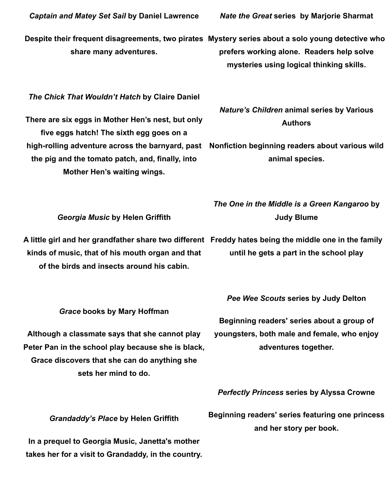**Despite their frequent disagreements, two pirates Mystery series about a solo young detective who share many adventures.**

*The Chick That Wouldn't Hatch* **by Claire Daniel**

**There are six eggs in Mother Hen's nest, but only five eggs hatch! The sixth egg goes on a high-rolling adventure across the barnyard, past the pig and the tomato patch, and, finally, into Mother Hen's waiting wings.**

*Nature's Children* **animal series by Various Authors**

**Nonfiction beginning readers about various wild animal species.**

*The One in the Middle is a Green Kangaroo* **by Judy Blume**

*Georgia Music* **by Helen Griffith**

**kinds of music, that of his mouth organ and that of the birds and insects around his cabin.**

*Grace* **books by Mary Hoffman**

**Although a classmate says that she cannot play Peter Pan in the school play because she is black, Grace discovers that she can do anything she sets her mind to do.**

**until he gets a part in the school play**

*Pee Wee Scouts* **series by Judy Delton**

**Beginning readers' series about a group of youngsters, both male and female, who enjoy adventures together.**

*Perfectly Princess* **series by Alyssa Crowne**

*Grandaddy's Place* **by Helen Griffith**

**In a prequel to Georgia Music, Janetta's mother takes her for a visit to Grandaddy, in the country.** **Beginning readers' series featuring one princess and her story per book.**

*Nate the Great* **series by Marjorie Sharmat**

**prefers working alone. Readers help solve**

**mysteries using logical thinking skills.**

**A little girl and her grandfather share two different Freddy hates being the middle one in the family**